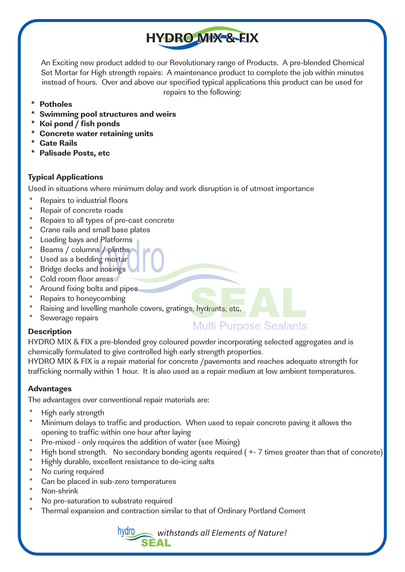An Exciting new product added to our Revolutionary range of Products. A pre-blended Chemical Set Mortar for High strength repairs: A maintenance product to complete the job within minutes instead of hours. Over and above our specified typical applications this product can be used for repairs to the following:

**HYDRO MIX & FIX** 

- **\* Potholes**
- **\* Swimming pool structures and weirs**
- **\* Koi pond / fish ponds**
- **\* Concrete water retaining units**
- **\* Gate Rails**
- **\* Palisade Posts, etc**

#### **Typical Applications**

Used in situations where minimum delay and work disruption is of utmost importance

- Repairs to industrial floors
- \* Repair of concrete roads
- Repairs to all types of pre-cast concrete
- \* Crane rails and small base plates
- \* Loading bays and Platforms
- \* Beams / columns / plinths
- \* Used as a bedding mortar
- **Bridge decks and nosings**
- \* Cold room floor areas
- Around fixing bolts and pipes
- \* Repairs to honeycombing
- \* Raising and levelling manhole covers, gratings, hydrants, etc.
- Sewerage repairs

# **Multi Purpose Sealants**

**Description** 

HYDRO MIX & FIX a pre-blended grey coloured powder incorporating selected aggregates and is chemically formulated to give controlled high early strength properties.

HYDRO MIX & FIX is a repair material for concrete /pavements and reaches adequate strength for trafficking normally within 1 hour. It is also used as a repair medium at low ambient temperatures.

#### **Advantages**

The advantages over conventional repair materials are:

- \* High early strength<br>\* Minimum delays to
- Minimum delays to traffic and production. When used to repair concrete paving it allows the opening to traffic within one hour after laying
- Pre-mixed only requires the addition of water (see Mixing)
- \* High bond strength. No secondary bonding agents required (+-7 times greater than that of concrete)
- \* Highly durable, excellent resistance to de-icing salts
- \* No curing required
- \* Can be placed in sub-zero temperatures
- Non-shrink
- No pre-saturation to substrate required
- Thermal expansion and contraction similar to that of Ordinary Portland Cement

hydro *withstands all Elements of Nature!*  **SEAL**